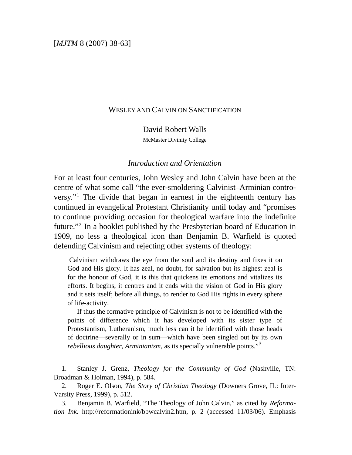# WESLEY AND CALVIN ON SANCTIFICATION

# David Robert Walls

McMaster Divinity College

# *Introduction and Orientation*

For at least four centuries, John Wesley and John Calvin have been at the centre of what some call "the ever-smoldering Calvinist–Arminian controversy."[1](#page-0-0) The divide that began in earnest in the eighteenth century has continued in evangelical Protestant Christianity until today and "promises to continue providing occasion for theological warfare into the indefinite future."[2](#page-0-1) In a booklet published by the Presbyterian board of Education in 1909, no less a theological icon than Benjamin B. Warfield is quoted defending Calvinism and rejecting other systems of theology:

 Calvinism withdraws the eye from the soul and its destiny and fixes it on God and His glory. It has zeal, no doubt, for salvation but its highest zeal is for the honour of God, it is this that quickens its emotions and vitalizes its efforts. It begins, it centres and it ends with the vision of God in His glory and it sets itself; before all things, to render to God His rights in every sphere of life-activity.

 If thus the formative principle of Calvinism is not to be identified with the points of difference which it has developed with its sister type of Protestantism, Lutheranism, much less can it be identified with those heads of doctrine—severally or in sum—which have been singled out by its own *rebellious daughter, Arminianism,* as its specially vulnerable points."[3](#page-0-2)

<span id="page-0-0"></span> 1. Stanley J. Grenz, *Theology for the Community of God* (Nashville, TN: Broadman & Holman, 1994), p. 584.

<span id="page-0-1"></span> 2. Roger E. Olson, *The Story of Christian Theology* (Downers Grove, IL: Inter-Varsity Press, 1999), p. 512.

<span id="page-0-2"></span> 3. Benjamin B. Warfield, "The Theology of John Calvin," as cited by *Reformation Ink*. http://reformationink/bbwcalvin2.htm, p. 2 (accessed 11/03/06). Emphasis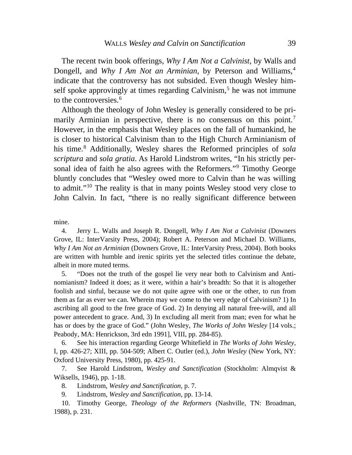The recent twin book offerings, *Why I Am Not a Calvinist*, by Walls and Dongell, and *Why I Am Not an Arminian*, by Peterson and Williams,<sup>[4](#page-1-0)</sup> indicate that the controversy has not subsided. Even though Wesley himself spoke approvingly at times regarding Calvinism, $<sup>5</sup>$  $<sup>5</sup>$  $<sup>5</sup>$  he was not immune</sup> to the controversies.<sup>[6](#page-1-2)</sup>

 Although the theology of John Wesley is generally considered to be pri-marily Arminian in perspective, there is no consensus on this point.<sup>[7](#page-1-3)</sup> However, in the emphasis that Wesley places on the fall of humankind, he is closer to historical Calvinism than to the High Church Arminianism of his time.<sup>[8](#page-1-4)</sup> Additionally, Wesley shares the Reformed principles of *sola scriptura* and *sola gratia*. As Harold Lindstrom writes, "In his strictly personal idea of faith he also agrees with the Reformers."[9](#page-1-5) Timothy George bluntly concludes that "Wesley owed more to Calvin than he was willing to admit."[10](#page-1-6) The reality is that in many points Wesley stood very close to John Calvin. In fact, "there is no really significant difference between

mine.

<span id="page-1-0"></span> 4. Jerry L. Walls and Joseph R. Dongell, *Why I Am Not a Calvinist* (Downers Grove, IL: InterVarsity Press, 2004); Robert A. Peterson and Michael D. Williams, *Why I Am Not an Arminian* (Downers Grove, IL: InterVarsity Press, 2004). Both books are written with humble and irenic spirits yet the selected titles continue the debate, albeit in more muted terms.

<span id="page-1-1"></span> 5. "Does not the truth of the gospel lie very near both to Calvinism and Antinomianism? Indeed it does; as it were, within a hair's breadth: So that it is altogether foolish and sinful, because we do not quite agree with one or the other, to run from them as far as ever we can. Wherein may we come to the very edge of Calvinism? 1) In ascribing all good to the free grace of God. 2) In denying all natural free-will, and all power antecedent to grace. And, 3) In excluding all merit from man; even for what he has or does by the grace of God." (John Wesley, *The Works of John Wesley* [14 vols.; Peabody, MA: Henrickson, 3rd edn 1991], VIII, pp. 284-85).

<span id="page-1-2"></span> 6. See his interaction regarding George Whitefield in *The Works of John Wesley*, I, pp. 426-27; XIII, pp. 504-509; Albert C. Outler (ed.), *John Wesley* (New York, NY: Oxford University Press, 1980), pp. 425-91.

<span id="page-1-4"></span><span id="page-1-3"></span> 7. See Harold Lindstrom, *Wesley and Sanctification* (Stockholm: Almqvist & Wiksells, 1946), pp. 1-18.

8. Lindstrom, *Wesley and Sanctification*, p. 7.

9. Lindstrom, *Wesley and Sanctification*, pp. 13-14.

<span id="page-1-6"></span><span id="page-1-5"></span> 10. Timothy George, *Theology of the Reformers* (Nashville, TN: Broadman, 1988), p. 231.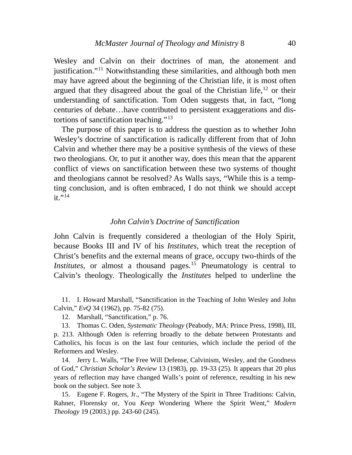Wesley and Calvin on their doctrines of man, the atonement and justification."[11](#page-2-0) Notwithstanding these similarities, and although both men may have agreed about the beginning of the Christian life, it is most often argued that they disagreed about the goal of the Christian life,  $12$  or their understanding of sanctification. Tom Oden suggests that, in fact, "long centuries of debate…have contributed to persistent exaggerations and distortions of sanctification teaching."[13](#page-2-2)

 The purpose of this paper is to address the question as to whether John Wesley's doctrine of sanctification is radically different from that of John Calvin and whether there may be a positive synthesis of the views of these two theologians. Or, to put it another way, does this mean that the apparent conflict of views on sanctification between these two systems of thought and theologians cannot be resolved? As Walls says, "While this is a tempting conclusion, and is often embraced, I do not think we should accept  $it.$ "<sup>[14](#page-2-3)</sup>

# *John Calvin's Doctrine of Sanctification*

John Calvin is frequently considered a theologian of the Holy Spirit, because Books III and IV of his *Institutes*, which treat the reception of Christ's benefits and the external means of grace, occupy two-thirds of the *Institutes*, or almost a thousand pages.<sup>[15](#page-2-4)</sup> Pneumatology is central to Calvin's theology. Theologically the *Institutes* helped to underline the

<span id="page-2-0"></span> 11. I. Howard Marshall, "Sanctification in the Teaching of John Wesley and John Calvin," *EvQ* 34 (1962), pp. 75-82 (75).

12. Marshall, "Sanctification," p. 76.

<span id="page-2-2"></span><span id="page-2-1"></span> 13. Thomas C. Oden, *Systematic Theology* (Peabody, MA: Prince Press, 1998), III, p. 213. Although Oden is referring broadly to the debate between Protestants and Catholics, his focus is on the last four centuries, which include the period of the Reformers and Wesley.

<span id="page-2-3"></span> 14. Jerry L. Walls, "The Free Will Defense, Calvinism, Wesley, and the Goodness of God," *Christian Scholar's Review* 13 (1983), pp. 19-33 (25). It appears that 20 plus years of reflection may have changed Walls's point of reference, resulting in his new book on the subject. See note 3.

<span id="page-2-4"></span> 15. Eugene F. Rogers, Jr., "The Mystery of the Spirit in Three Traditions: Calvin, Rahner, Florensky or, You *Keep* Wondering Where the Spirit Went," *Modern Theology* 19 (2003,) pp. 243-60 (245).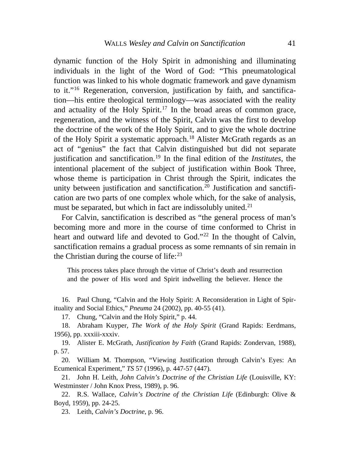dynamic function of the Holy Spirit in admonishing and illuminating individuals in the light of the Word of God: "This pneumatological function was linked to his whole dogmatic framework and gave dynamism to it."[16](#page-3-0) Regeneration, conversion, justification by faith, and sanctification—his entire theological terminology—was associated with the reality and actuality of the Holy Spirit.<sup>[17](#page-3-1)</sup> In the broad areas of common grace, regeneration, and the witness of the Spirit, Calvin was the first to develop the doctrine of the work of the Holy Spirit, and to give the whole doctrine of the Holy Spirit a systematic approach.[18](#page-3-2) Alister McGrath regards as an act of "genius" the fact that Calvin distinguished but did not separate justification and sanctification.[19](#page-3-3) In the final edition of the *Institutes*, the intentional placement of the subject of justification within Book Three, whose theme is participation in Christ through the Spirit, indicates the unity between justification and sanctification.<sup>[20](#page-3-4)</sup> Justification and sanctification are two parts of one complex whole which, for the sake of analysis, must be separated, but which in fact are indissolubly united.<sup>[21](#page-3-5)</sup>

 For Calvin, sanctification is described as "the general process of man's becoming more and more in the course of time conformed to Christ in heart and outward life and devoted to God."<sup>[22](#page-3-6)</sup> In the thought of Calvin, sanctification remains a gradual process as some remnants of sin remain in the Christian during the course of life: $^{23}$  $^{23}$  $^{23}$ 

This process takes place through the virtue of Christ's death and resurrection and the power of His word and Spirit indwelling the believer. Hence the

<span id="page-3-0"></span> 16. Paul Chung, "Calvin and the Holy Spirit: A Reconsideration in Light of Spirituality and Social Ethics," *Pneuma* 24 (2002), pp. 40-55 (41).

17. Chung, "Calvin and the Holy Spirit," p. 44.

<span id="page-3-2"></span><span id="page-3-1"></span> 18. Abraham Kuyper, *The Work of the Holy Spirit* (Grand Rapids: Eerdmans, 1956), pp. xxxiii-xxxiv.

<span id="page-3-3"></span> 19. Alister E. McGrath, *Justification by Faith* (Grand Rapids: Zondervan, 1988), p. 57.

<span id="page-3-4"></span> 20. William M. Thompson, "Viewing Justification through Calvin's Eyes: An Ecumenical Experiment," *TS* 57 (1996), p. 447-57 (447).

<span id="page-3-5"></span> 21. John H. Leith, *John Calvin's Doctrine of the Christian Life* (Louisville, KY: Westminster / John Knox Press, 1989), p. 96.

<span id="page-3-7"></span><span id="page-3-6"></span> 22. R.S. Wallace, *Calvin's Doctrine of the Christian Life* (Edinburgh: Olive & Boyd, 1959), pp. 24-25.

23. Leith, *Calvin's Doctrine*, p. 96.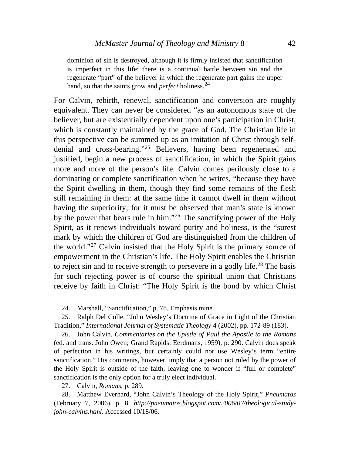dominion of sin is destroyed, although it is firmly insisted that sanctification is imperfect in this life; there is a continual battle between sin and the regenerate "part" of the believer in which the regenerate part gains the upper hand, so that the saints grow and *perfect* holiness.<sup>[24](#page-4-0)</sup>

For Calvin, rebirth, renewal, sanctification and conversion are roughly equivalent. They can never be considered "as an autonomous state of the believer, but are existentially dependent upon one's participation in Christ, which is constantly maintained by the grace of God. The Christian life in this perspective can be summed up as an imitation of Christ through selfdenial and cross-bearing."[25](#page-4-1) Believers, having been regenerated and justified, begin a new process of sanctification, in which the Spirit gains more and more of the person's life. Calvin comes perilously close to a dominating or complete sanctification when he writes, "because they have the Spirit dwelling in them, though they find some remains of the flesh still remaining in them: at the same time it cannot dwell in them without having the superiority; for it must be observed that man's state is known by the power that bears rule in him."[26](#page-4-2) The sanctifying power of the Holy Spirit, as it renews individuals toward purity and holiness, is the "surest mark by which the children of God are distinguished from the children of the world."[27](#page-4-3) Calvin insisted that the Holy Spirit is the primary source of empowerment in the Christian's life. The Holy Spirit enables the Christian to reject sin and to receive strength to persevere in a godly life.<sup>28</sup> The basis for such rejecting power is of course the spiritual union that Christians receive by faith in Christ: "The Holy Spirit is the bond by which Christ

24. Marshall, "Sanctification," p. 78. Emphasis mine.

<span id="page-4-1"></span><span id="page-4-0"></span> 25. Ralph Del Colle, "John Wesley's Doctrine of Grace in Light of the Christian Tradition," *International Journal of Systematic Theology* 4 (2002), pp. 172-89 (183).

<span id="page-4-2"></span> 26. John Calvin, *Commentaries on the Epistle of Paul the Apostle to the Romans* (ed. and trans. John Owen; Grand Rapids: Eerdmans, 1959), p. 290. Calvin does speak of perfection in his writings, but certainly could not use Wesley's term "entire sanctification." His comments, however, imply that a person not ruled by the power of the Holy Spirit is outside of the faith, leaving one to wonder if "full or complete" sanctification is the only option for a truly elect individual.

27. Calvin, *Romans*, p. 289.

<span id="page-4-4"></span><span id="page-4-3"></span> 28. Matthew Everhard, "John Calvin's Theology of the Holy Spirit," *Pneumatos* (February 7, 2006), p. 8. *http://pneumatos.blogspot.com/2006/02/theological-studyjohn-calvins.html.* Accessed 10/18/06.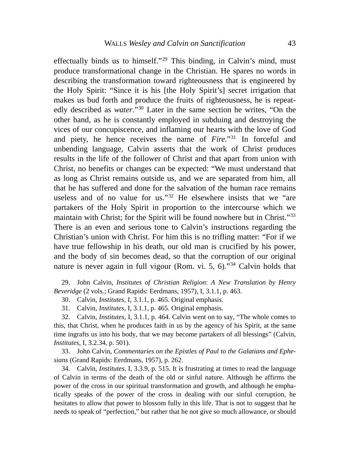effectually binds us to himself."[29](#page-5-0) This binding, in Calvin's mind, must produce transformational change in the Christian. He spares no words in describing the transformation toward righteousness that is engineered by the Holy Spirit: "Since it is his [the Holy Spirit's] secret irrigation that makes us bud forth and produce the fruits of righteousness, he is repeatedly described as *water*."[30](#page-5-1) Later in the same section he writes, "On the other hand, as he is constantly employed in subduing and destroying the vices of our concupiscence, and inflaming our hearts with the love of God and piety, he hence receives the name of *Fire*."[31](#page-5-2) In forceful and unbending language, Calvin asserts that the work of Christ produces results in the life of the follower of Christ and that apart from union with Christ, no benefits or changes can be expected: "We must understand that as long as Christ remains outside us, and we are separated from him, all that he has suffered and done for the salvation of the human race remains useless and of no value for us."<sup>[32](#page-5-3)</sup> He elsewhere insists that we "are partakers of the Holy Spirit in proportion to the intercourse which we maintain with Christ; for the Spirit will be found nowhere but in Christ."<sup>[33](#page-5-4)</sup> There is an even and serious tone to Calvin's instructions regarding the Christian's union with Christ. For him this is no trifling matter: "For if we have true fellowship in his death, our old man is crucified by his power, and the body of sin becomes dead, so that the corruption of our original nature is never again in full vigour (Rom. vi. 5, 6).<sup>[34](#page-5-5)</sup> Calvin holds that

<span id="page-5-1"></span><span id="page-5-0"></span> 29. John Calvin, *Institutes of Christian Religion*: *A New Translation by Henry Beveridge* (2 vols.; Grand Rapids: Eerdmans, 1957), I, 3.1.1, p. 463.

30. Calvin, *Institutes*, I, 3.1.1, p. 465. Original emphasis.

31. Calvin, *Institutes*, I, 3.1.1, p. 465. Original emphasis.

<span id="page-5-3"></span><span id="page-5-2"></span> 32. Calvin, *Institutes*, I, 3.1.1, p. 464. Calvin went on to say, "The whole comes to this, that Christ, when he produces faith in us by the agency of his Spirit, at the same time ingrafts us into his body, that we may become partakers of all blessings" (Calvin, *Institutes*, I, 3.2.34, p. 501).

<span id="page-5-4"></span> 33. John Calvin, *Commentaries on the Epistles of Paul to the Galatians and Ephesians* (Grand Rapids: Eerdmans, 1957), p. 262.

<span id="page-5-5"></span> 34. Calvin, *Institutes*, I, 3.3.9, p. 515. It is frustrating at times to read the language of Calvin in terms of the death of the old or sinful nature. Although he affirms the power of the cross in our spiritual transformation and growth, and although he emphatically speaks of the power of the cross in dealing with our sinful corruption, he hesitates to allow that power to blossom fully in this life. That is not to suggest that he needs to speak of "perfection," but rather that he not give so much allowance, or should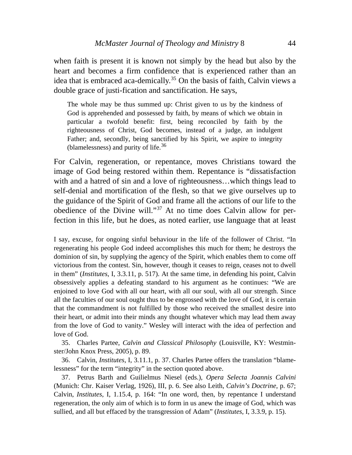when faith is present it is known not simply by the head but also by the heart and becomes a firm confidence that is experienced rather than an idea that is embraced aca-demically.<sup>[35](#page-6-0)</sup> On the basis of faith, Calvin views a double grace of justi-fication and sanctification. He says,

The whole may be thus summed up: Christ given to us by the kindness of God is apprehended and possessed by faith, by means of which we obtain in particular a twofold benefit: first, being reconciled by faith by the righteousness of Christ, God becomes, instead of a judge, an indulgent Father; and, secondly, being sanctified by his Spirit, we aspire to integrity (blamelessness) and purity of life. $36$ 

For Calvin, regeneration, or repentance, moves Christians toward the image of God being restored within them. Repentance is "dissatisfaction with and a hatred of sin and a love of righteousness…which things lead to self-denial and mortification of the flesh, so that we give ourselves up to the guidance of the Spirit of God and frame all the actions of our life to the obedience of the Divine will."[37](#page-6-2) At no time does Calvin allow for perfection in this life, but he does, as noted earlier, use language that at least

I say, excuse, for ongoing sinful behaviour in the life of the follower of Christ. "In regenerating his people God indeed accomplishes this much for them; he destroys the dominion of sin, by supplying the agency of the Spirit, which enables them to come off victorious from the contest. Sin, however, though it ceases to reign, ceases not to dwell in them" (*Institutes*, I, 3.3.11, p. 517). At the same time, in defending his point, Calvin obsessively applies a defeating standard to his argument as he continues: "We are enjoined to love God with all our heart, with all our soul, with all our strength. Since all the faculties of our soul ought thus to be engrossed with the love of God, it is certain that the commandment is not fulfilled by those who received the smallest desire into their heart, or admit into their minds any thought whatever which may lead them away from the love of God to vanity." Wesley will interact with the idea of perfection and love of God.

<span id="page-6-0"></span> 35. Charles Partee, *Calvin and Classical Philosophy* (Louisville, KY: Westminster/John Knox Press, 2005), p. 89.

<span id="page-6-1"></span> 36. Calvin, *Institutes*, I, 3.11.1, p. 37. Charles Partee offers the translation "blamelessness" for the term "integrity" in the section quoted above.

<span id="page-6-2"></span> 37. Petrus Barth and Guilielmus Niesel (eds.), *Opera Selecta Joannis Calvini* (Munich: Chr. Kaiser Verlag, 1926), III, p. 6. See also Leith, *Calvin's Doctrine*, p. 67; Calvin, *Institutes*, I, 1.15.4, p. 164: "In one word, then, by repentance I understand regeneration, the only aim of which is to form in us anew the image of God, which was sullied, and all but effaced by the transgression of Adam" (*Institutes*, I, 3.3.9, p. 15).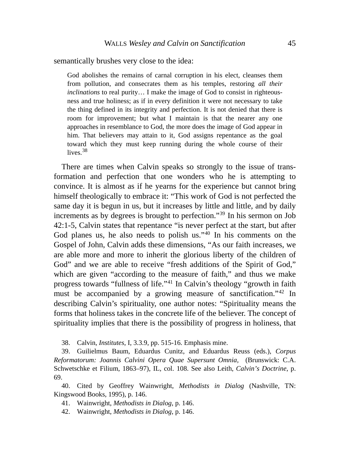semantically brushes very close to the idea:

God abolishes the remains of carnal corruption in his elect, cleanses them from pollution, and consecrates them as his temples, restoring *all their inclinations* to real purity… I make the image of God to consist in righteousness and true holiness; as if in every definition it were not necessary to take the thing defined in its integrity and perfection. It is not denied that there is room for improvement; but what I maintain is that the nearer any one approaches in resemblance to God, the more does the image of God appear in him. That believers may attain to it, God assigns repentance as the goal toward which they must keep running during the whole course of their lives. $38$ 

 There are times when Calvin speaks so strongly to the issue of transformation and perfection that one wonders who he is attempting to convince. It is almost as if he yearns for the experience but cannot bring himself theologically to embrace it: "This work of God is not perfected the same day it is begun in us, but it increases by little and little, and by daily increments as by degrees is brought to perfection."[39](#page-7-1) In his sermon on Job 42:1-5, Calvin states that repentance "is never perfect at the start, but after God planes us, he also needs to polish us."<sup>[40](#page-7-2)</sup> In his comments on the Gospel of John, Calvin adds these dimensions, "As our faith increases, we are able more and more to inherit the glorious liberty of the children of God" and we are able to receive "fresh additions of the Spirit of God," which are given "according to the measure of faith," and thus we make progress towards "fullness of life."[41](#page-7-3) In Calvin's theology "growth in faith must be accompanied by a growing measure of sanctification."[42](#page-7-4) In describing Calvin's spirituality, one author notes: "Spirituality means the forms that holiness takes in the concrete life of the believer. The concept of spirituality implies that there is the possibility of progress in holiness, that

38. Calvin, *Institutes*, I, 3.3.9, pp. 515-16. Emphasis mine.

<span id="page-7-1"></span><span id="page-7-0"></span> 39. Guilielmus Baum, Eduardus Cunitz, and Eduardus Reuss (eds.), *Corpus Reformatorum: Joannis Calvini Opera Quae Supersunt Omnia,* (Brunswick: C.A. Schwetschke et Filium, 1863–97), IL, col. 108. See also Leith, *Calvin's Doctrine*, p. 69.

<span id="page-7-4"></span><span id="page-7-3"></span><span id="page-7-2"></span> 40. Cited by Geoffrey Wainwright, *Methodists in Dialog* (Nashville, TN: Kingswood Books, 1995), p. 146.

41. Wainwright, *Methodists in Dialog*, p. 146.

42. Wainwright, *Methodists in Dialog*, p. 146.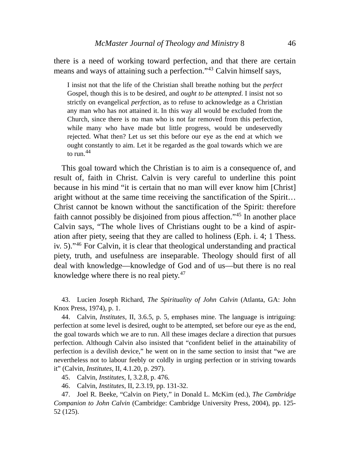there is a need of working toward perfection, and that there are certain means and ways of attaining such a perfection."[43](#page-8-0) Calvin himself says,

I insist not that the life of the Christian shall breathe nothing but the *perfect* Gospel, though this is to be desired, and *ought to be attempted*. I insist not so strictly on evangelical *perfection*, as to refuse to acknowledge as a Christian any man who has not attained it. In this way all would be excluded from the Church, since there is no man who is not far removed from this perfection, while many who have made but little progress, would be undeservedly rejected. What then? Let us set this before our eye as the end at which we ought constantly to aim. Let it be regarded as the goal towards which we are to run. $44$ 

 This goal toward which the Christian is to aim is a consequence of, and result of, faith in Christ. Calvin is very careful to underline this point because in his mind "it is certain that no man will ever know him [Christ] aright without at the same time receiving the sanctification of the Spirit… Christ cannot be known without the sanctification of the Spirit: therefore faith cannot possibly be disjoined from pious affection."[45](#page-8-2) In another place Calvin says, "The whole lives of Christians ought to be a kind of aspiration after piety, seeing that they are called to holiness (Eph. i. 4; 1 Thess. iv. 5)."[46](#page-8-3) For Calvin, it is clear that theological understanding and practical piety, truth, and usefulness are inseparable. Theology should first of all deal with knowledge—knowledge of God and of us—but there is no real knowledge where there is no real piety. $47$ 

<span id="page-8-0"></span> 43. Lucien Joseph Richard, *The Spirituality of John Calvin* (Atlanta, GA: John Knox Press, 1974), p. 1.

<span id="page-8-1"></span> 44. Calvin, *Institutes*, II, 3.6.5, p. 5, emphases mine. The language is intriguing: perfection at some level is desired, ought to be attempted, set before our eye as the end, the goal towards which we are to run. All these images declare a direction that pursues perfection. Although Calvin also insisted that "confident belief in the attainability of perfection is a devilish device," he went on in the same section to insist that "we are nevertheless not to labour feebly or coldly in urging perfection or in striving towards it" (Calvin, *Institutes*, II, 4.1.20, p. 297).

45. Calvin, *Institutes*, I, 3.2.8, p. 476.

46. Calvin, *Institutes*, II, 2.3.19, pp. 131-32.

<span id="page-8-4"></span><span id="page-8-3"></span><span id="page-8-2"></span> 47. Joel R. Beeke, "Calvin on Piety," in Donald L. McKim (ed.), *The Cambridge Companion to John Calvin* (Cambridge: Cambridge University Press, 2004), pp. 125- 52 (125).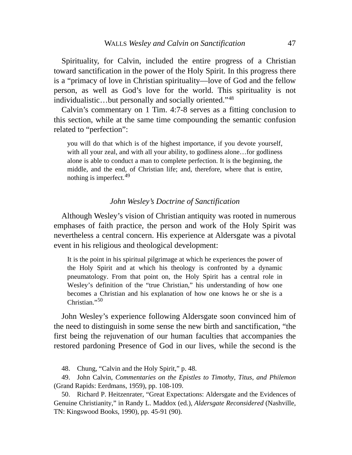Spirituality, for Calvin, included the entire progress of a Christian toward sanctification in the power of the Holy Spirit. In this progress there is a "primacy of love in Christian spirituality—love of God and the fellow person, as well as God's love for the world. This spirituality is not individualistic…but personally and socially oriented."[48](#page-9-0)

 Calvin's commentary on 1 Tim. 4:7-8 serves as a fitting conclusion to this section, while at the same time compounding the semantic confusion related to "perfection":

you will do that which is of the highest importance, if you devote yourself, with all your zeal, and with all your ability, to godliness alone...for godliness alone is able to conduct a man to complete perfection. It is the beginning, the middle, and the end, of Christian life; and, therefore, where that is entire, nothing is imperfect.<sup>[49](#page-9-1)</sup>

# *John Wesley's Doctrine of Sanctification*

Although Wesley's vision of Christian antiquity was rooted in numerous emphases of faith practice, the person and work of the Holy Spirit was nevertheless a central concern. His experience at Aldersgate was a pivotal event in his religious and theological development:

It is the point in his spiritual pilgrimage at which he experiences the power of the Holy Spirit and at which his theology is confronted by a dynamic pneumatology. From that point on, the Holy Spirit has a central role in Wesley's definition of the "true Christian," his understanding of how one becomes a Christian and his explanation of how one knows he or she is a  $Christian.$ <sup>[50](#page-9-2)</sup>

 John Wesley's experience following Aldersgate soon convinced him of the need to distinguish in some sense the new birth and sanctification, "the first being the rejuvenation of our human faculties that accompanies the restored pardoning Presence of God in our lives, while the second is the

48. Chung, "Calvin and the Holy Spirit," p. 48.

<span id="page-9-1"></span><span id="page-9-0"></span> 49. John Calvin, *Commentaries on the Epistles to Timothy, Titus, and Philemon* (Grand Rapids: Eerdmans, 1959), pp. 108-109.

<span id="page-9-2"></span> 50. Richard P. Heitzenrater, "Great Expectations: Aldersgate and the Evidences of Genuine Christianity," in Randy L. Maddox (ed.), *Aldersgate Reconsidered* (Nashville, TN: Kingswood Books, 1990), pp. 45-91 (90).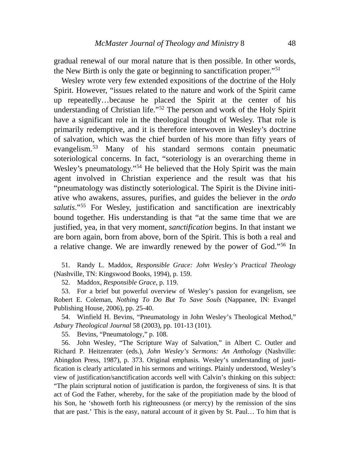gradual renewal of our moral nature that is then possible. In other words, the New Birth is only the gate or beginning to sanctification proper."[51](#page-10-0)

 Wesley wrote very few extended expositions of the doctrine of the Holy Spirit. However, "issues related to the nature and work of the Spirit came up repeatedly…because he placed the Spirit at the center of his understanding of Christian life."[52](#page-10-1) The person and work of the Holy Spirit have a significant role in the theological thought of Wesley. That role is primarily redemptive, and it is therefore interwoven in Wesley's doctrine of salvation, which was the chief burden of his more than fifty years of evangelism.[53](#page-10-2) Many of his standard sermons contain pneumatic soteriological concerns. In fact, "soteriology is an overarching theme in Wesley's pneumatology."<sup>[54](#page-10-3)</sup> He believed that the Holy Spirit was the main agent involved in Christian experience and the result was that his "pneumatology was distinctly soteriological. The Spirit is the Divine initiative who awakens, assures, purifies, and guides the believer in the *ordo salutis*."[55](#page-10-4) For Wesley, justification and sanctification are inextricably bound together. His understanding is that "at the same time that we are justified, yea, in that very moment, *sanctification* begins. In that instant we are born again, born from above, born of the Spirit. This is both a real and a relative change. We are inwardly renewed by the power of God."[56](#page-10-5) In

<span id="page-10-0"></span> 51. Randy L. Maddox, *Responsible Grace: John Wesley's Practical Theology* (Nashville, TN: Kingswood Books, 1994), p. 159.

52. Maddox, *Responsible Grace*, p. 119.

<span id="page-10-2"></span><span id="page-10-1"></span> 53. For a brief but powerful overview of Wesley's passion for evangelism, see Robert E. Coleman, *Nothing To Do But To Save Souls* (Nappanee, IN: Evangel Publishing House, 2006), pp. 25-40.

<span id="page-10-3"></span> 54. Winfield H. Bevins, "Pneumatology in John Wesley's Theological Method," *Asbury Theological Journal* 58 (2003), pp. 101-13 (101).

55. Bevins, "Pneumatology," p. 108.

<span id="page-10-5"></span><span id="page-10-4"></span> 56. John Wesley, "The Scripture Way of Salvation," in Albert C. Outler and Richard P. Heitzenrater (eds.), *John Wesley's Sermons: An Anthology* (Nashville: Abingdon Press, 1987), p. 373. Original emphasis. Wesley's understanding of justification is clearly articulated in his sermons and writings. Plainly understood, Wesley's view of justification/sanctification accords well with Calvin's thinking on this subject: "The plain scriptural notion of justification is pardon, the forgiveness of sins. It is that act of God the Father, whereby, for the sake of the propitiation made by the blood of his Son, he 'showeth forth his righteousness (or mercy) by the remission of the sins that are past.' This is the easy, natural account of it given by St. Paul… To him that is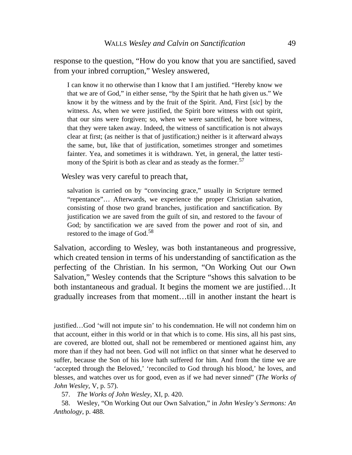response to the question, "How do you know that you are sanctified, saved from your inbred corruption," Wesley answered,

I can know it no otherwise than I know that I am justified. "Hereby know we that we are of God," in either sense, "by the Spirit that he hath given us." We know it by the witness and by the fruit of the Spirit. And, First [*sic*] by the witness. As, when we were justified, the Spirit bore witness with out spirit, that our sins were forgiven; so, when we were sanctified, he bore witness, that they were taken away. Indeed, the witness of sanctification is not always clear at first; (as neither is that of justification;) neither is it afterward always the same, but, like that of justification, sometimes stronger and sometimes fainter. Yea, and sometimes it is withdrawn. Yet, in general, the latter testi-mony of the Spirit is both as clear and as steady as the former.<sup>[57](#page-11-0)</sup>

Wesley was very careful to preach that,

salvation is carried on by "convincing grace," usually in Scripture termed "repentance"… Afterwards, we experience the proper Christian salvation, consisting of those two grand branches, justification and sanctification. By justification we are saved from the guilt of sin, and restored to the favour of God; by sanctification we are saved from the power and root of sin, and restored to the image of God.<sup>[58](#page-11-1)</sup>

Salvation, according to Wesley, was both instantaneous and progressive, which created tension in terms of his understanding of sanctification as the perfecting of the Christian. In his sermon, "On Working Out our Own Salvation," Wesley contends that the Scripture "shows this salvation to be both instantaneous and gradual. It begins the moment we are justified…It gradually increases from that moment…till in another instant the heart is

justified…God 'will not impute sin' to his condemnation. He will not condemn him on that account, either in this world or in that which is to come. His sins, all his past sins, are covered, are blotted out, shall not be remembered or mentioned against him, any more than if they had not been. God will not inflict on that sinner what he deserved to suffer, because the Son of his love hath suffered for him. And from the time we are 'accepted through the Beloved,' 'reconciled to God through his blood,' he loves, and blesses, and watches over us for good, even as if we had never sinned" (*The Works of John Wesley*, V, p. 57).

57. *The Works of John Wesley*, XI, p. 420.

<span id="page-11-1"></span><span id="page-11-0"></span> 58. Wesley, "On Working Out our Own Salvation," in *John Wesley's Sermons: An Anthology*, p. 488.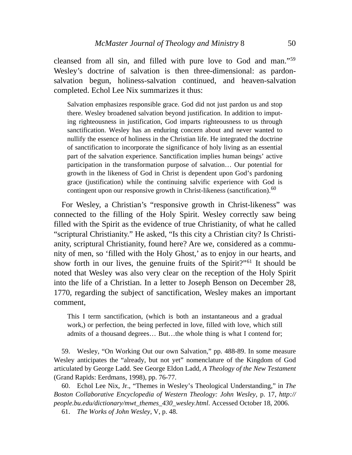cleansed from all sin, and filled with pure love to God and man."[59](#page-12-0) Wesley's doctrine of salvation is then three-dimensional: as pardonsalvation begun, holiness-salvation continued, and heaven-salvation completed. Echol Lee Nix summarizes it thus:

Salvation emphasizes responsible grace. God did not just pardon us and stop there. Wesley broadened salvation beyond justification. In addition to imputing righteousness in justification, God imparts righteousness to us through sanctification. Wesley has an enduring concern about and never wanted to nullify the essence of holiness in the Christian life. He integrated the doctrine of sanctification to incorporate the significance of holy living as an essential part of the salvation experience. Sanctification implies human beings' active participation in the transformation purpose of salvation… Our potential for growth in the likeness of God in Christ is dependent upon God's pardoning grace (justification) while the continuing salvific experience with God is contingent upon our responsive growth in Christ-likeness (sanctification).<sup>[60](#page-12-1)</sup>

 For Wesley, a Christian's "responsive growth in Christ-likeness" was connected to the filling of the Holy Spirit. Wesley correctly saw being filled with the Spirit as the evidence of true Christianity, of what he called "scriptural Christianity." He asked, "Is this city a Christian city? Is Christianity, scriptural Christianity, found here? Are we, considered as a community of men, so 'filled with the Holy Ghost,' as to enjoy in our hearts, and show forth in our lives, the genuine fruits of the Spirit?"<sup>[61](#page-12-2)</sup> It should be noted that Wesley was also very clear on the reception of the Holy Spirit into the life of a Christian. In a letter to Joseph Benson on December 28, 1770, regarding the subject of sanctification, Wesley makes an important comment,

This I term sanctification, (which is both an instantaneous and a gradual work,) or perfection, the being perfected in love, filled with love, which still admits of a thousand degrees… But…the whole thing is what I contend for;

<span id="page-12-0"></span> 59. Wesley, "On Working Out our own Salvation," pp. 488-89. In some measure Wesley anticipates the "already, but not yet" nomenclature of the Kingdom of God articulated by George Ladd. See George Eldon Ladd, *A Theology of the New Testament* (Grand Rapids: Eerdmans, 1998), pp. 76-77.

<span id="page-12-2"></span><span id="page-12-1"></span> 60. Echol Lee Nix, Jr., "Themes in Wesley's Theological Understanding," in *The Boston Collaborative Encyclopedia of Western Theology: John Wesley*, p. 17, *http:// people.bu.edu/dictionary/mwt\_themes\_430\_wesley.html*. Accessed October 18, 2006.

61. *The Works of John Wesley*, V, p. 48.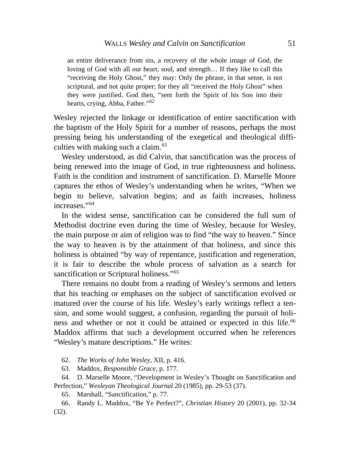an entire deliverance from sin, a recovery of the whole image of God, the loving of God with all our heart, soul, and strength… If they like to call this "receiving the Holy Ghost," they may: Only the phrase, in that sense, is not scriptural, and not quite proper; for they all "received the Holy Ghost" when they were justified. God then, "sent forth the Spirit of his Son into their hearts, crying, Abba, Father."<sup>[62](#page-13-0)</sup>

Wesley rejected the linkage or identification of entire sanctification with the baptism of the Holy Spirit for a number of reasons, perhaps the most pressing being his understanding of the exegetical and theological difficulties with making such a claim. $63$ 

 Wesley understood, as did Calvin, that sanctification was the process of being renewed into the image of God, in true righteousness and holiness. Faith is the condition and instrument of sanctification. D. Marselle Moore captures the ethos of Wesley's understanding when he writes, "When we begin to believe, salvation begins; and as faith increases, holiness increases."[64](#page-13-2)

 In the widest sense, sanctification can be considered the full sum of Methodist doctrine even during the time of Wesley, because for Wesley, the main purpose or aim of religion was to find "the way to heaven." Since the way to heaven is by the attainment of that holiness, and since this holiness is obtained "by way of repentance, justification and regeneration, it is fair to describe the whole process of salvation as a search for sanctification or Scriptural holiness."<sup>[65](#page-13-3)</sup>

 There remains no doubt from a reading of Wesley's sermons and letters that his teaching or emphases on the subject of sanctification evolved or matured over the course of his life. Wesley's early writings reflect a tension, and some would suggest, a confusion, regarding the pursuit of holi-ness and whether or not it could be attained or expected in this life.<sup>[66](#page-13-4)</sup> Maddox affirms that such a development occurred when he references "Wesley's mature descriptions." He writes:

62. *The Works of John Wesley*, XII, p. 416.

63. Maddox, *Responsible Grace*, p. 177.

<span id="page-13-2"></span><span id="page-13-1"></span><span id="page-13-0"></span> 64. D. Marselle Moore, "Development in Wesley's Thought on Sanctification and Perfection," *Wesleyan Theological Journal* 20 (1985), pp. 29-53 (37).

65. Marshall, "Sanctification," p. 77.

<span id="page-13-4"></span><span id="page-13-3"></span> 66. Randy L. Maddox, "Be Ye Perfect?", *Christian History* 20 (2001), pp. 32-34 (32).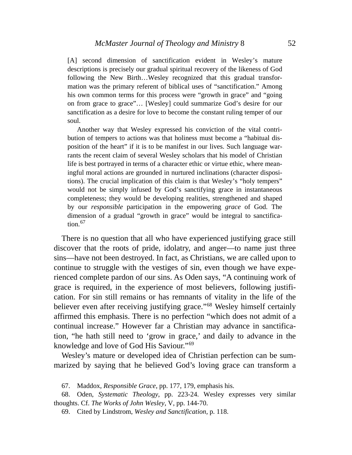[A] second dimension of sanctification evident in Wesley's mature descriptions is precisely our gradual spiritual recovery of the likeness of God following the New Birth…Wesley recognized that this gradual transformation was the primary referent of biblical uses of "sanctification." Among his own common terms for this process were "growth in grace" and "going on from grace to grace"… [Wesley] could summarize God's desire for our sanctification as a desire for love to become the constant ruling temper of our soul.

 Another way that Wesley expressed his conviction of the vital contribution of tempers to actions was that holiness must become a "habitual disposition of the heart" if it is to be manifest in our lives. Such language warrants the recent claim of several Wesley scholars that his model of Christian life is best portrayed in terms of a character ethic or virtue ethic, where meaningful moral actions are grounded in nurtured inclinations (character dispositions). The crucial implication of this claim is that Wesley's "holy tempers" would not be simply infused by God's sanctifying grace in instantaneous completeness; they would be developing realities, strengthened and shaped by our *responsible* participation in the empowering *grace* of God. The dimension of a gradual "growth in grace" would be integral to sanctifica-tion.<sup>[67](#page-14-0)</sup>

 There is no question that all who have experienced justifying grace still discover that the roots of pride, idolatry, and anger—to name just three sins—have not been destroyed. In fact, as Christians, we are called upon to continue to struggle with the vestiges of sin, even though we have experienced complete pardon of our sins. As Oden says, "A continuing work of grace is required, in the experience of most believers, following justification. For sin still remains or has remnants of vitality in the life of the believer even after receiving justifying grace."<sup>[68](#page-14-1)</sup> Wesley himself certainly affirmed this emphasis. There is no perfection "which does not admit of a continual increase." However far a Christian may advance in sanctification, "he hath still need to 'grow in grace,' and daily to advance in the knowledge and love of God His Saviour."[69](#page-14-2)

 Wesley's mature or developed idea of Christian perfection can be summarized by saying that he believed God's loving grace can transform a

67. Maddox, *Responsible Grace*, pp. 177, 179, emphasis his.

<span id="page-14-2"></span><span id="page-14-1"></span><span id="page-14-0"></span> 68. Oden, *Systematic Theology*, pp. 223-24. Wesley expresses very similar thoughts. Cf. *The Works of John Wesley*, V, pp. 144-70.

69. Cited by Lindstrom, *Wesley and Sanctification*, p. 118.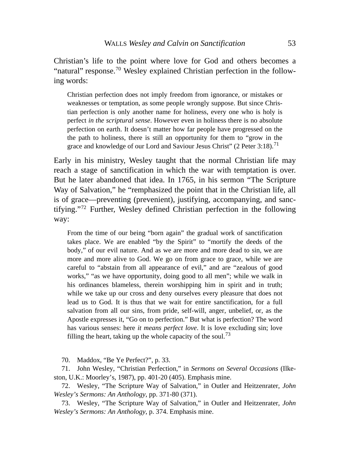Christian's life to the point where love for God and others becomes a "natural" response.[70](#page-15-0) Wesley explained Christian perfection in the following words:

Christian perfection does not imply freedom from ignorance, or mistakes or weaknesses or temptation, as some people wrongly suppose. But since Christian perfection is only another name for holiness, every one who is holy is perfect *in the scriptural sense*. However even in holiness there is no absolute perfection on earth. It doesn't matter how far people have progressed on the the path to holiness, there is still an opportunity for them to "grow in the grace and knowledge of our Lord and Saviour Jesus Christ" (2 Peter 3:18).<sup>[71](#page-15-1)</sup>

Early in his ministry, Wesley taught that the normal Christian life may reach a stage of sanctification in which the war with temptation is over. But he later abandoned that idea. In 1765, in his sermon "The Scripture Way of Salvation," he "remphasized the point that in the Christian life, all is of grace—preventing (prevenient), justifying, accompanying, and sanctifying."[72](#page-15-2) Further, Wesley defined Christian perfection in the following way:

From the time of our being "born again" the gradual work of sanctification takes place. We are enabled "by the Spirit" to "mortify the deeds of the body," of our evil nature. And as we are more and more dead to sin, we are more and more alive to God. We go on from grace to grace, while we are careful to "abstain from all appearance of evil," and are "zealous of good works," "as we have opportunity, doing good to all men"; while we walk in his ordinances blameless, therein worshipping him in spirit and in truth; while we take up our cross and deny ourselves every pleasure that does not lead us to God. It is thus that we wait for entire sanctification, for a full salvation from all our sins, from pride, self-will, anger, unbelief, or, as the Apostle expresses it, "Go on to perfection." But what is perfection? The word has various senses: here *it means perfect love*. It is love excluding sin; love filling the heart, taking up the whole capacity of the soul.<sup>[73](#page-15-3)</sup>

70. Maddox, "Be Ye Perfect?", p. 33.

<span id="page-15-1"></span><span id="page-15-0"></span> 71. John Wesley, "Christian Perfection," in *Sermons on Several Occasions* (Ilkeston, U.K.: Moorley's, 1987), pp. 401-20 (405). Emphasis mine.

<span id="page-15-2"></span> 72. Wesley, "The Scripture Way of Salvation," in Outler and Heitzenrater, *John Wesley's Sermons: An Anthology*, pp. 371-80 (371).

<span id="page-15-3"></span> 73. Wesley, "The Scripture Way of Salvation," in Outler and Heitzenrater, *John Wesley's Sermons: An Anthology*, p. 374. Emphasis mine.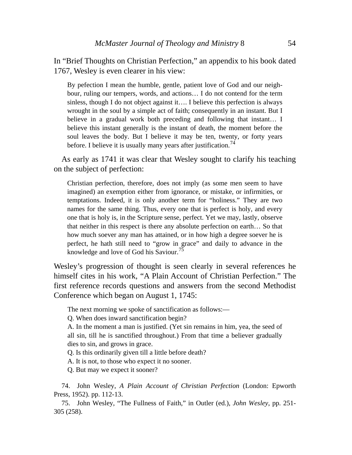In "Brief Thoughts on Christian Perfection," an appendix to his book dated 1767, Wesley is even clearer in his view:

By pefection I mean the humble, gentle, patient love of God and our neighbour, ruling our tempers, words, and actions… I do not contend for the term sinless, though I do not object against it…. I believe this perfection is always wrought in the soul by a simple act of faith; consequently in an instant. But I believe in a gradual work both preceding and following that instant… I believe this instant generally is the instant of death, the moment before the soul leaves the body. But I believe it may be ten, twenty, or forty years before. I believe it is usually many years after justification.<sup>[74](#page-16-0)</sup>

 As early as 1741 it was clear that Wesley sought to clarify his teaching on the subject of perfection:

Christian perfection, therefore, does not imply (as some men seem to have imagined) an exemption either from ignorance, or mistake, or infirmities, or temptations. Indeed, it is only another term for "holiness." They are two names for the same thing. Thus, every one that is perfect is holy, and every one that is holy is, in the Scripture sense, perfect. Yet we may, lastly, observe that neither in this respect is there any absolute perfection on earth… So that how much soever any man has attained, or in how high a degree soever he is perfect, he hath still need to "grow in grace" and daily to advance in the knowledge and love of God his Saviour.[75](#page-16-1)

Wesley's progression of thought is seen clearly in several references he himself cites in his work, "A Plain Account of Christian Perfection." The first reference records questions and answers from the second Methodist Conference which began on August 1, 1745:

The next morning we spoke of sanctification as follows:—

Q. When does inward sanctification begin?

A. In the moment a man is justified. (Yet sin remains in him, yea, the seed of all sin, till he is sanctified throughout.) From that time a believer gradually dies to sin, and grows in grace.

Q. Is this ordinarily given till a little before death?

A. It is not, to those who expect it no sooner.

Q. But may we expect it sooner?

<span id="page-16-0"></span> 74. John Wesley, *A Plain Account of Christian Perfection* (London: Epworth Press, 1952). pp. 112-13.

<span id="page-16-1"></span> 75. John Wesley, "The Fullness of Faith," in Outler (ed.), *John Wesley*, pp. 251- 305 (258).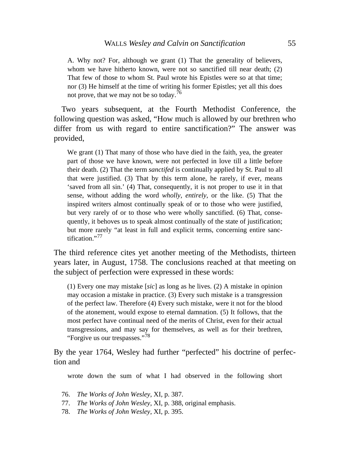A. Why not? For, although we grant (1) That the generality of believers, whom we have hitherto known, were not so sanctified till near death; (2) That few of those to whom St. Paul wrote his Epistles were so at that time; nor (3) He himself at the time of writing his former Epistles; yet all this does not prove, that we may not be so today.<sup>[76](#page-17-0)</sup>

 Two years subsequent, at the Fourth Methodist Conference, the following question was asked, "How much is allowed by our brethren who differ from us with regard to entire sanctification?" The answer was provided,

We grant (1) That many of those who have died in the faith, yea, the greater part of those we have known, were not perfected in love till a little before their death. (2) That the term *sanctifed* is continually applied by St. Paul to all that were justified. (3) That by this term alone, he rarely, if ever, means 'saved from all sin.' (4) That, consequently, it is not proper to use it in that sense, without adding the word *wholly*, *entirely*, or the like. (5) That the inspired writers almost continually speak of or to those who were justified, but very rarely of or to those who were wholly sanctified. (6) That, consequently, it behoves us to speak almost continually of the state of justification; but more rarely "at least in full and explicit terms, concerning entire sanctification."[77](#page-17-1)

The third reference cites yet another meeting of the Methodists, thirteen years later, in August, 1758. The conclusions reached at that meeting on the subject of perfection were expressed in these words:

(1) Every one may mistake [*sic*] as long as he lives. (2) A mistake in opinion may occasion a mistake in practice. (3) Every such mistake is a transgression of the perfect law. Therefore (4) Every such mistake, were it not for the blood of the atonement, would expose to eternal damnation. (5) It follows, that the most perfect have continual need of the merits of Christ, even for their actual transgressions, and may say for themselves, as well as for their brethren, "Forgive us our trespasses."<sup>[78](#page-17-2)</sup>

By the year 1764, Wesley had further "perfected" his doctrine of perfection and

wrote down the sum of what I had observed in the following short

- <span id="page-17-1"></span><span id="page-17-0"></span>76. *The Works of John Wesley*, XI, p. 387.
- 77. *The Works of John Wesley*, XI, p. 388, original emphasis.
- <span id="page-17-2"></span>78. *The Works of John Wesley*, XI, p. 395.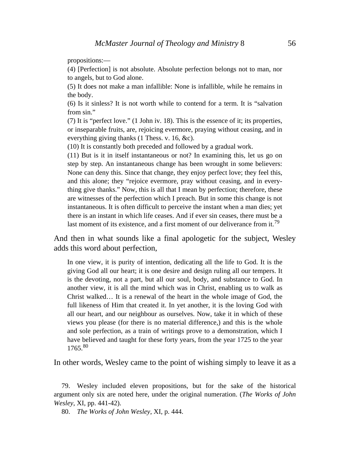propositions:—

(4) [Perfection] is not absolute. Absolute perfection belongs not to man, nor to angels, but to God alone.

(5) It does not make a man infallible: None is infallible, while he remains in the body.

(6) Is it sinless? It is not worth while to contend for a term. It is "salvation from sin."

(7) It is "perfect love." (1 John iv. 18). This is the essence of it; its properties, or inseparable fruits, are, rejoicing evermore, praying without ceasing, and in everything giving thanks (1 Thess. v. 16, &c).

(10) It is constantly both preceded and followed by a gradual work.

(11) But is it in itself instantaneous or not? In examining this, let us go on step by step. An instantaneous change has been wrought in some believers: None can deny this. Since that change, they enjoy perfect love; they feel this, and this alone; they "rejoice evermore, pray without ceasing, and in everything give thanks." Now, this is all that I mean by perfection; therefore, these are witnesses of the perfection which I preach. But in some this change is not instantaneous. It is often difficult to perceive the instant when a man dies; yet there is an instant in which life ceases. And if ever sin ceases, there must be a last moment of its existence, and a first moment of our deliverance from it.<sup>[79](#page-18-0)</sup>

And then in what sounds like a final apologetic for the subject, Wesley adds this word about perfection,

In one view, it is purity of intention, dedicating all the life to God. It is the giving God all our heart; it is one desire and design ruling all our tempers. It is the devoting, not a part, but all our soul, body, and substance to God. In another view, it is all the mind which was in Christ, enabling us to walk as Christ walked… It is a renewal of the heart in the whole image of God, the full likeness of Him that created it. In yet another, it is the loving God with all our heart, and our neighbour as ourselves. Now, take it in which of these views you please (for there is no material difference,) and this is the whole and sole perfection, as a train of writings prove to a demonstration, which I have believed and taught for these forty years, from the year 1725 to the year 1765.[80](#page-18-1)

In other words, Wesley came to the point of wishing simply to leave it as a

<span id="page-18-1"></span><span id="page-18-0"></span> 79. Wesley included eleven propositions, but for the sake of the historical argument only six are noted here, under the original numeration. (*The Works of John Wesley*, XI, pp. 441-42).

80. *The Works of John Wesley*, XI, p. 444.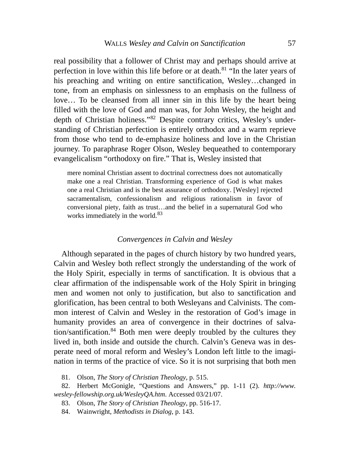real possibility that a follower of Christ may and perhaps should arrive at perfection in love within this life before or at death.<sup>[81](#page-19-0)</sup> "In the later years of his preaching and writing on entire sanctification, Wesley…changed in tone, from an emphasis on sinlessness to an emphasis on the fullness of love… To be cleansed from all inner sin in this life by the heart being filled with the love of God and man was, for John Wesley, the height and depth of Christian holiness."[82](#page-19-1) Despite contrary critics, Wesley's understanding of Christian perfection is entirely orthodox and a warm reprieve from those who tend to de-emphasize holiness and love in the Christian journey. To paraphrase Roger Olson, Wesley bequeathed to contemporary evangelicalism "orthodoxy on fire." That is, Wesley insisted that

mere nominal Christian assent to doctrinal correctness does not automatically make one a real Christian. Transforming experience of God is what makes one a real Christian and is the best assurance of orthodoxy. [Wesley] rejected sacramentalism, confessionalism and religious rationalism in favor of conversional piety, faith as trust…and the belief in a supernatural God who works immediately in the world.<sup>[83](#page-19-2)</sup>

# *Convergences in Calvin and Wesley*

Although separated in the pages of church history by two hundred years, Calvin and Wesley both reflect strongly the understanding of the work of the Holy Spirit, especially in terms of sanctification. It is obvious that a clear affirmation of the indispensable work of the Holy Spirit in bringing men and women not only to justification, but also to sanctification and glorification, has been central to both Wesleyans and Calvinists. The common interest of Calvin and Wesley in the restoration of God's image in humanity provides an area of convergence in their doctrines of salvation/santification[.84](#page-19-3) Both men were deeply troubled by the cultures they lived in, both inside and outside the church. Calvin's Geneva was in desperate need of moral reform and Wesley's London left little to the imagination in terms of the practice of vice. So it is not surprising that both men

81. Olson, *The Story of Christian Theology*, p. 515.

<span id="page-19-3"></span><span id="page-19-2"></span><span id="page-19-1"></span><span id="page-19-0"></span> 82. Herbert McGonigle, "Questions and Answers," pp. 1-11 (2). *http://www. wesley-fellowship.org.uk/WesleyQA.htm*. Accessed 03/21/07.

- 83. Olson, *The Story of Christian Theology*, pp. 516-17.
- 84. Wainwright, *Methodists in Dialog*, p. 143.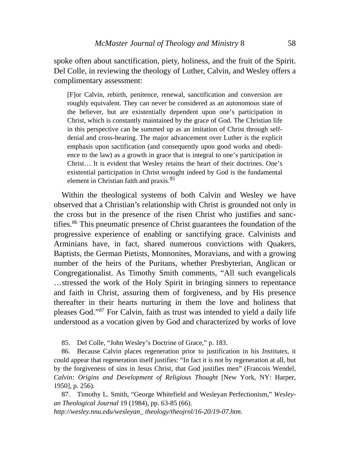spoke often about sanctification, piety, holiness, and the fruit of the Spirit. Del Colle, in reviewing the theology of Luther, Calvin, and Wesley offers a complimentary assessment:

[F]or Calvin, rebirth, penitence, renewal, sanctification and conversion are roughly equivalent. They can never be considered as an autonomous state of the believer, but are existentially dependent upon one's participation in Christ, which is constantly maintained by the grace of God. The Christian life in this perspective can be summed up as an imitation of Christ through selfdenial and cross-bearing. The major advancement over Luther is the explicit emphasis upon sactification (and consequently upon good works and obedience to the law) as a growth in grace that is integral to one's participation in Christ… It is evident that Wesley retains the heart of their doctrines. One's existential participation in Christ wrought indeed by God is the fundamental element in Christian faith and praxis.[85](#page-20-0)

 Within the theological systems of both Calvin and Wesley we have observed that a Christian's relationship with Christ is grounded not only in the cross but in the presence of the risen Christ who justifies and sanctifies.[86](#page-20-1) This pneumatic presence of Christ guarantees the foundation of the progressive experience of enabling or sanctifying grace. Calvinists and Arminians have, in fact, shared numerous convictions with Quakers, Baptists, the German Pietists, Monnonites, Moravians, and with a growing number of the heirs of the Puritans, whether Presbyterian, Anglican or Congregationalist. As Timothy Smith comments, "All such evangelicals …stressed the work of the Holy Spirit in bringing sinners to repentance and faith in Christ, assuring them of forgiveness, and by His presence thereafter in their hearts nurturing in them the love and holiness that pleases God."[87](#page-20-2) For Calvin, faith as trust was intended to yield a daily life understood as a vocation given by God and characterized by works of love

85. Del Colle, "John Wesley's Doctrine of Grace," p. 183.

<span id="page-20-1"></span><span id="page-20-0"></span> 86. Because Calvin places regeneration prior to justification in his *Institutes*, it could appear that regeneration itself justifies: "In fact it is not by regeneration at all, but by the forgiveness of sins in Jesus Christ, that God justifies men" (Francois Wendel, *Calvin: Origins and Development of Religious Thought* [New York, NY: Harper, 1950], p. 256).

<span id="page-20-2"></span> 87. Timothy L. Smith, "George Whitefield and Wesleyan Perfectionism," *Wesleyan Theological Journal* 19 (1984), pp. 63-85 (66).

*[http://wesley.nnu.edu/w](http://wesley.nnu.edu/)esleyan\_ theology/theojrnl/16-20/19-07.htm*.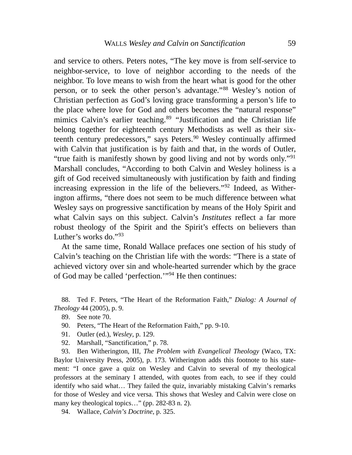and service to others. Peters notes, "The key move is from self-service to neighbor-service, to love of neighbor according to the needs of the neighbor. To love means to wish from the heart what is good for the other person, or to seek the other person's advantage."[88](#page-21-0) Wesley's notion of Christian perfection as God's loving grace transforming a person's life to the place where love for God and others becomes the "natural response" mimics Calvin's earlier teaching.<sup>[89](#page-21-1)</sup> "Justification and the Christian life belong together for eighteenth century Methodists as well as their six-teenth century predecessors," says Peters.<sup>[90](#page-21-2)</sup> Wesley continually affirmed with Calvin that justification is by faith and that, in the words of Outler, "true faith is manifestly shown by good living and not by words only."[91](#page-21-3) Marshall concludes, "According to both Calvin and Wesley holiness is a gift of God received simultaneously with justification by faith and finding increasing expression in the life of the believers."[92](#page-21-4) Indeed, as Witherington affirms, "there does not seem to be much difference between what Wesley says on progressive sanctification by means of the Holy Spirit and what Calvin says on this subject. Calvin's *Institutes* reflect a far more robust theology of the Spirit and the Spirit's effects on believers than Luther's works do."[93](#page-21-5)

 At the same time, Ronald Wallace prefaces one section of his study of Calvin's teaching on the Christian life with the words: "There is a state of achieved victory over sin and whole-hearted surrender which by the grace of God may be called 'perfection.'"[94](#page-21-6) He then continues:

<span id="page-21-2"></span><span id="page-21-1"></span><span id="page-21-0"></span> 88. Ted F. Peters, "The Heart of the Reformation Faith," *Dialog: A Journal of Theology* 44 (2005), p. 9.

89. See note 70.

90. Peters, "The Heart of the Reformation Faith," pp. 9-10.

91. Outler (ed.), *Wesley*, p. 129.

92. Marshall, "Sanctification," p. 78.

<span id="page-21-5"></span><span id="page-21-4"></span><span id="page-21-3"></span> 93. Ben Witherington, III, *The Problem with Evangelical Theology* (Waco, TX: Baylor University Press, 2005), p. 173. Witherington adds this footnote to his statement: "I once gave a quiz on Wesley and Calvin to several of my theological professors at the seminary I attended, with quotes from each, to see if they could identify who said what… They failed the quiz, invariably mistaking Calvin's remarks for those of Wesley and vice versa. This shows that Wesley and Calvin were close on many key theological topics..." (pp. 282-83 n. 2).

<span id="page-21-6"></span>94. Wallace, *Calvin's Doctrine*, p. 325.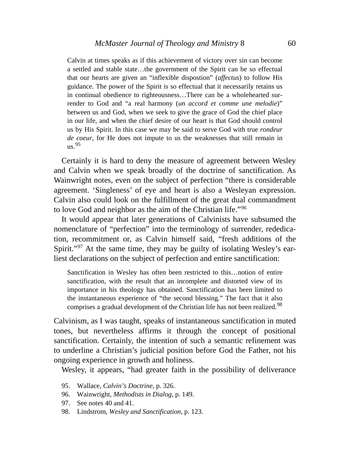Calvin at times speaks as if this achievement of victory over sin can become a settled and stable state…the government of the Spirit can be so effectual that our hearts are given an "inflexible dispostion" (*affectus*) to follow His guidance. The power of the Spirit is so effectual that it necessarily retains us in continual obedience to righteousness…There can be a wholehearted surrender to God and "a real harmony (*un accord et comme une melodie*)" between us and God, when we seek to give the grace of God the chief place in our life, and when the chief desire of our heart is that God should control us by His Spirit. In this case we may be said to serve God with true *rondeur de coeur*, for He does not impute to us the weaknesses that still remain in  $us.<sup>95</sup>$  $us.<sup>95</sup>$  $us.<sup>95</sup>$ 

 Certainly it is hard to deny the measure of agreement between Wesley and Calvin when we speak broadly of the doctrine of sanctification. As Wainwright notes, even on the subject of perfection "there is considerable agreement. 'Singleness' of eye and heart is also a Wesleyan expression. Calvin also could look on the fulfillment of the great dual commandment to love God and neighbor as the aim of the Christian life."<sup>[96](#page-22-1)</sup>

 It would appear that later generations of Calvinists have subsumed the nomenclature of "perfection" into the terminology of surrender, rededication, recommitment or, as Calvin himself said, "fresh additions of the Spirit."<sup>[97](#page-22-2)</sup> At the same time, they may be guilty of isolating Wesley's earliest declarations on the subject of perfection and entire sanctification:

Sanctification in Wesley has often been restricted to this…notion of entire sanctification, with the result that an incomplete and distorted view of its importance in his theology has obtained. Sanctification has been limited to the instantaneous experience of "the second blessing." The fact that it also comprises a gradual development of the Christian life has not been realized.<sup>[98](#page-22-3)</sup>

Calvinism, as I was taught, speaks of instantaneous sanctification in muted tones, but nevertheless affirms it through the concept of positional sanctification. Certainly, the intention of such a semantic refinement was to underline a Christian's judicial position before God the Father, not his ongoing experience in growth and holiness.

Wesley, it appears, "had greater faith in the possibility of deliverance

- <span id="page-22-0"></span>95. Wallace, *Calvin's Doctrine*, p. 326.
- <span id="page-22-1"></span>96. Wainwright, *Methodists in Dialog*, p. 149.
- <span id="page-22-2"></span>97. See notes 40 and 41.
- <span id="page-22-3"></span>98. Lindstrom, *Wesley and Sanctification*, p. 123.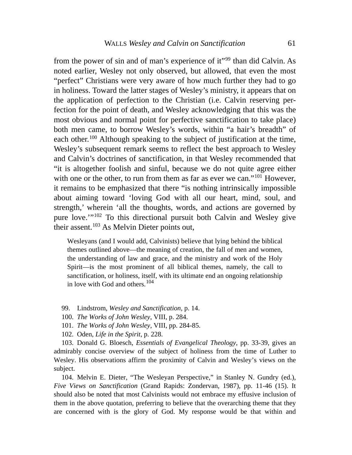from the power of sin and of man's experience of it"[99](#page-23-0) than did Calvin. As noted earlier, Wesley not only observed, but allowed, that even the most "perfect" Christians were very aware of how much further they had to go in holiness. Toward the latter stages of Wesley's ministry, it appears that on the application of perfection to the Christian (i.e. Calvin reserving perfection for the point of death, and Wesley acknowledging that this was the most obvious and normal point for perfective sanctification to take place) both men came, to borrow Wesley's words, within "a hair's breadth" of each other.<sup>[100](#page-23-1)</sup> Although speaking to the subject of justification at the time, Wesley's subsequent remark seems to reflect the best approach to Wesley and Calvin's doctrines of sanctification, in that Wesley recommended that "it is altogether foolish and sinful, because we do not quite agree either with one or the other, to run from them as far as ever we can."<sup>[101](#page-23-2)</sup> However, it remains to be emphasized that there "is nothing intrinsically impossible about aiming toward 'loving God with all our heart, mind, soul, and strength,' wherein 'all the thoughts, words, and actions are governed by pure love.'"[102](#page-23-3) To this directional pursuit both Calvin and Wesley give their assent.<sup>[103](#page-23-4)</sup> As Melvin Dieter points out,

Wesleyans (and I would add, Calvinists) believe that lying behind the biblical themes outlined above—the meaning of creation, the fall of men and women, the understanding of law and grace, and the ministry and work of the Holy Spirit—is the most prominent of all biblical themes, namely, the call to sanctification, or holiness, itself, with its ultimate end an ongoing relationship in love with God and others.  $104$ 

- <span id="page-23-0"></span>99. Lindstrom, *Wesley and Sanctification*, p. 14.
- 100. *The Works of John Wesley*, VIII, p. 284.
- 101. *The Works of John Wesley*, VIII, pp. 284-85.
- 102. Oden, *Life in the Spirit*, p. 228.

<span id="page-23-4"></span><span id="page-23-3"></span><span id="page-23-2"></span><span id="page-23-1"></span> 103. Donald G. Bloesch, *Essentials of Evangelical Theology*, pp. 33-39, gives an admirably concise overview of the subject of holiness from the time of Luther to Wesley. His observations affirm the proximity of Calvin and Wesley's views on the subject.

<span id="page-23-5"></span> 104. Melvin E. Dieter, "The Wesleyan Perspective," in Stanley N. Gundry (ed.), *Five Views on Sanctification* (Grand Rapids: Zondervan, 1987), pp. 11-46 (15). It should also be noted that most Calvinists would not embrace my effusive inclusion of them in the above quotation, preferring to believe that the overarching theme that they are concerned with is the glory of God. My response would be that within and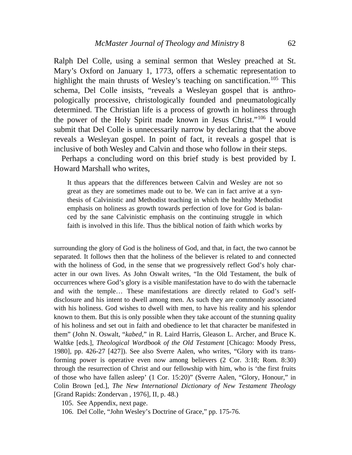Ralph Del Colle, using a seminal sermon that Wesley preached at St. Mary's Oxford on January 1, 1773, offers a schematic representation to highlight the main thrusts of Wesley's teaching on sanctification.<sup>[105](#page-24-0)</sup> This schema, Del Colle insists, "reveals a Wesleyan gospel that is anthropologically processive, christologically founded and pneumatologically determined. The Christian life is a process of growth in holiness through the power of the Holy Spirit made known in Jesus Christ."[106](#page-24-1) I would submit that Del Colle is unnecessarily narrow by declaring that the above reveals a Wesleyan gospel. In point of fact, it reveals a gospel that is inclusive of both Wesley and Calvin and those who follow in their steps.

 Perhaps a concluding word on this brief study is best provided by I. Howard Marshall who writes,

It thus appears that the differences between Calvin and Wesley are not so great as they are sometimes made out to be. We can in fact arrive at a synthesis of Calvinistic and Methodist teaching in which the healthy Methodist emphasis on holiness as growth towards perfection of love for God is balanced by the sane Calvinistic emphasis on the continuing struggle in which faith is involved in this life. Thus the biblical notion of faith which works by

surrounding the glory of God is the holiness of God, and that, in fact, the two cannot be separated. It follows then that the holiness of the believer is related to and connected with the holiness of God, in the sense that we progressively reflect God's holy character in our own lives. As John Oswalt writes, "In the Old Testament, the bulk of occurrences where God's glory is a visible manifestation have to do with the tabernacle and with the temple… These manifestations are directly related to God's selfdisclosure and his intent to dwell among men. As such they are commonly associated with his holiness. God wishes to dwell with men, to have his reality and his splendor known to them. But this is only possible when they take account of the stunning quality of his holiness and set out in faith and obedience to let that character be manifested in them" (John N. Oswalt, "*kabed*," in R. Laird Harris, Gleason L. Archer, and Bruce K. Waltke [eds.], *Theological Wordbook of the Old Testament* [Chicago: Moody Press, 1980], pp. 426-27 [427]). See also Sverre Aalen, who writes, "Glory with its transforming power is operative even now among believers (2 Cor. 3:18; Rom. 8:30) through the resurrection of Christ and our fellowship with him, who is 'the first fruits of those who have fallen asleep' (1 Cor. 15:20)" (Sverre Aalen, "Glory, Honour," in Colin Brown [ed.], *The New International Dictionary of New Testament Theology* [Grand Rapids: Zondervan , 1976], II, p. 48.)

<span id="page-24-0"></span>105. See Appendix, next page.

<span id="page-24-1"></span>106. Del Colle, "John Wesley's Doctrine of Grace," pp. 175-76.